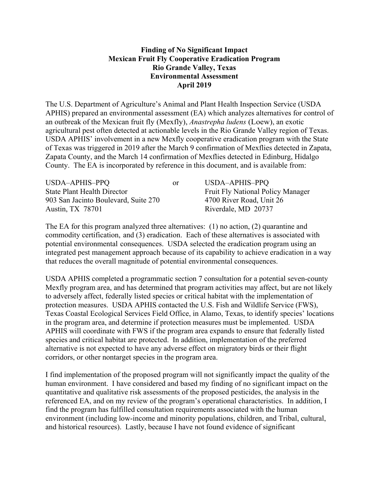## **Finding of No Significant Impact Mexican Fruit Fly Cooperative Eradication Program Rio Grande Valley, Texas Environmental Assessment April 2019**

The U.S. Department of Agriculture's Animal and Plant Health Inspection Service (USDA APHIS) prepared an environmental assessment (EA) which analyzes alternatives for control of an outbreak of the Mexican fruit fly (Mexfly), *Anastrepha ludens* (Loew), an exotic agricultural pest often detected at actionable levels in the Rio Grande Valley region of Texas. USDA APHIS' involvement in a new Mexfly cooperative eradication program with the State of Texas was triggered in 2019 after the March 9 confirmation of Mexflies detected in Zapata, Zapata County, and the March 14 confirmation of Mexflies detected in Edinburg, Hidalgo County. The EA is incorporated by reference in this document, and is available from:

| USDA-APHIS-PPQ                       | 0r | USDA-APHIS-PPQ                           |
|--------------------------------------|----|------------------------------------------|
| <b>State Plant Health Director</b>   |    | <b>Fruit Fly National Policy Manager</b> |
| 903 San Jacinto Boulevard, Suite 270 |    | 4700 River Road, Unit 26                 |
| Austin, TX 78701                     |    | Riverdale, MD 20737                      |

The EA for this program analyzed three alternatives: (1) no action, (2) quarantine and commodity certification, and (3) eradication. Each of these alternatives is associated with potential environmental consequences. USDA selected the eradication program using an integrated pest management approach because of its capability to achieve eradication in a way that reduces the overall magnitude of potential environmental consequences.

USDA APHIS completed a programmatic section 7 consultation for a potential seven-county Mexfly program area, and has determined that program activities may affect, but are not likely to adversely affect, federally listed species or critical habitat with the implementation of protection measures. USDA APHIS contacted the U.S. Fish and Wildlife Service (FWS), Texas Coastal Ecological Services Field Office, in Alamo, Texas, to identify species' locations in the program area, and determine if protection measures must be implemented. USDA APHIS will coordinate with FWS if the program area expands to ensure that federally listed species and critical habitat are protected. In addition, implementation of the preferred alternative is not expected to have any adverse effect on migratory birds or their flight corridors, or other nontarget species in the program area.

I find implementation of the proposed program will not significantly impact the quality of the human environment. I have considered and based my finding of no significant impact on the quantitative and qualitative risk assessments of the proposed pesticides, the analysis in the referenced EA, and on my review of the program's operational characteristics. In addition, I find the program has fulfilled consultation requirements associated with the human environment (including low-income and minority populations, children, and Tribal, cultural, and historical resources). Lastly, because I have not found evidence of significant